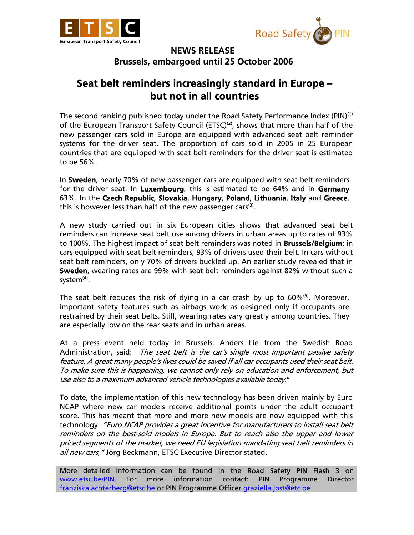



## **NEWS RELEASE Brussels, embargoed until 25 October 2006**

## **Seat belt reminders increasingly standard in Europe – but not in all countries**

The second ranking published today under the Road Safety Performance Index (PIN)<sup>(1)</sup> of the European Transport Safety Council (ETSC)<sup>(2)</sup>, shows that more than half of the new passenger cars sold in Europe are equipped with advanced seat belt reminder systems for the driver seat. The proportion of cars sold in 2005 in 25 European countries that are equipped with seat belt reminders for the driver seat is estimated to be 56%.

In **Sweden**, nearly 70% of new passenger cars are equipped with seat belt reminders for the driver seat. In **Luxembourg**, this is estimated to be 64% and in **Germany** 63%. In the **Czech Republic**, **Slovakia**, **Hungary**, **Poland**, **Lithuania**, **Italy** and **Greece**, this is however less than half of the new passenger cars $(3)$ .

A new study carried out in six European cities shows that advanced seat belt reminders can increase seat belt use among drivers in urban areas up to rates of 93% to 100%. The highest impact of seat belt reminders was noted in **Brussels/Belgium**: in cars equipped with seat belt reminders, 93% of drivers used their belt. In cars without seat belt reminders, only 70% of drivers buckled up. An earlier study revealed that in **Sweden**, wearing rates are 99% with seat belt reminders against 82% without such a system $<sup>(4)</sup>$ .</sup>

The seat belt reduces the risk of dying in a car crash by up to  $60\%$ <sup>(5)</sup>. Moreover, important safety features such as airbags work as designed only if occupants are restrained by their seat belts. Still, wearing rates vary greatly among countries. They are especially low on the rear seats and in urban areas.

At a press event held today in Brussels, Anders Lie from the Swedish Road Administration, said: "The seat belt is the car's single most important passive safety feature. A great many people's lives could be saved if all car occupants used their seat belt. To make sure this is happening, we cannot only rely on education and enforcement, but use also to a maximum advanced vehicle technologies available today."

To date, the implementation of this new technology has been driven mainly by Euro NCAP where new car models receive additional points under the adult occupant score. This has meant that more and more new models are now equipped with this technology. "Euro NCAP provides a great incentive for manufacturers to install seat belt reminders on the best-sold models in Europe. But to reach also the upper and lower priced segments of the market, we need EU legislation mandating seat belt reminders in all new cars, "Jörg Beckmann, ETSC Executive Director stated.

More detailed information can be found in the Road Safety PIN Flash 3 on www.etsc.be/PIN. For more information contact: PIN Programme Director franziska.achterberg@etsc.be or PIN Programme Officer graziella.jost@etc.be